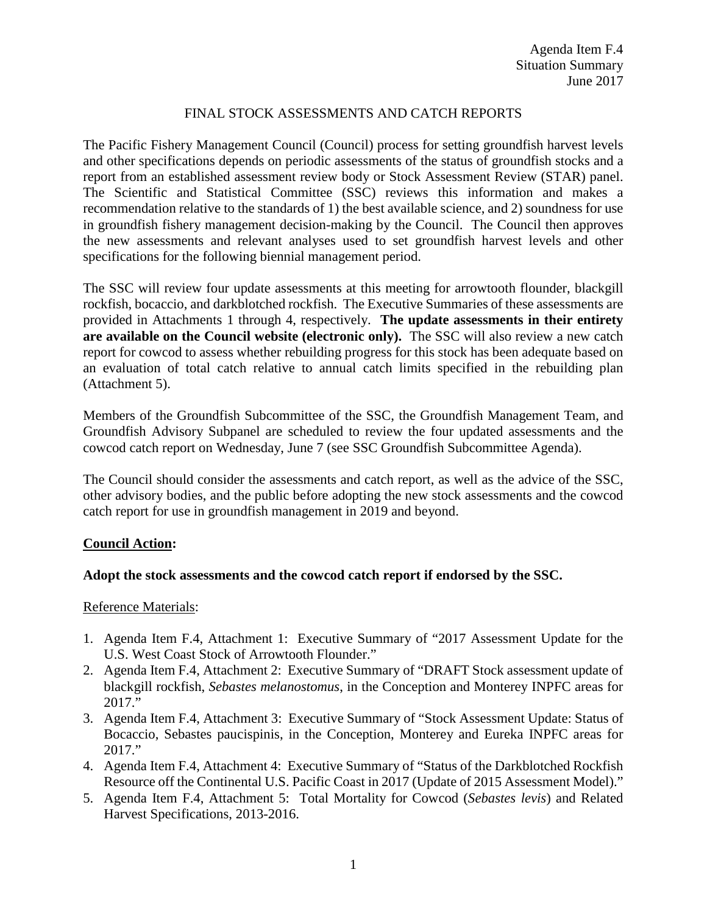## FINAL STOCK ASSESSMENTS AND CATCH REPORTS

The Pacific Fishery Management Council (Council) process for setting groundfish harvest levels and other specifications depends on periodic assessments of the status of groundfish stocks and a report from an established assessment review body or Stock Assessment Review (STAR) panel. The Scientific and Statistical Committee (SSC) reviews this information and makes a recommendation relative to the standards of 1) the best available science, and 2) soundness for use in groundfish fishery management decision-making by the Council. The Council then approves the new assessments and relevant analyses used to set groundfish harvest levels and other specifications for the following biennial management period.

The SSC will review four update assessments at this meeting for arrowtooth flounder, blackgill rockfish, bocaccio, and darkblotched rockfish. The Executive Summaries of these assessments are provided in Attachments 1 through 4, respectively. **The update assessments in their entirety are available on the Council website (electronic only).** The SSC will also review a new catch report for cowcod to assess whether rebuilding progress for this stock has been adequate based on an evaluation of total catch relative to annual catch limits specified in the rebuilding plan (Attachment 5).

Members of the Groundfish Subcommittee of the SSC, the Groundfish Management Team, and Groundfish Advisory Subpanel are scheduled to review the four updated assessments and the cowcod catch report on Wednesday, June 7 (see SSC Groundfish Subcommittee Agenda).

The Council should consider the assessments and catch report, as well as the advice of the SSC, other advisory bodies, and the public before adopting the new stock assessments and the cowcod catch report for use in groundfish management in 2019 and beyond.

### **Council Action:**

### **Adopt the stock assessments and the cowcod catch report if endorsed by the SSC.**

### Reference Materials:

- 1. Agenda Item F.4, Attachment 1: Executive Summary of "2017 Assessment Update for the U.S. West Coast Stock of Arrowtooth Flounder."
- 2. Agenda Item F.4, Attachment 2: Executive Summary of "DRAFT Stock assessment update of blackgill rockfish, *Sebastes melanostomus*, in the Conception and Monterey INPFC areas for 2017."
- 3. Agenda Item F.4, Attachment 3: Executive Summary of "Stock Assessment Update: Status of Bocaccio, Sebastes paucispinis, in the Conception, Monterey and Eureka INPFC areas for 2017."
- 4. Agenda Item F.4, Attachment 4: Executive Summary of "Status of the Darkblotched Rockfish Resource off the Continental U.S. Pacific Coast in 2017 (Update of 2015 Assessment Model)."
- 5. Agenda Item F.4, Attachment 5: Total Mortality for Cowcod (*Sebastes levis*) and Related Harvest Specifications, 2013-2016.